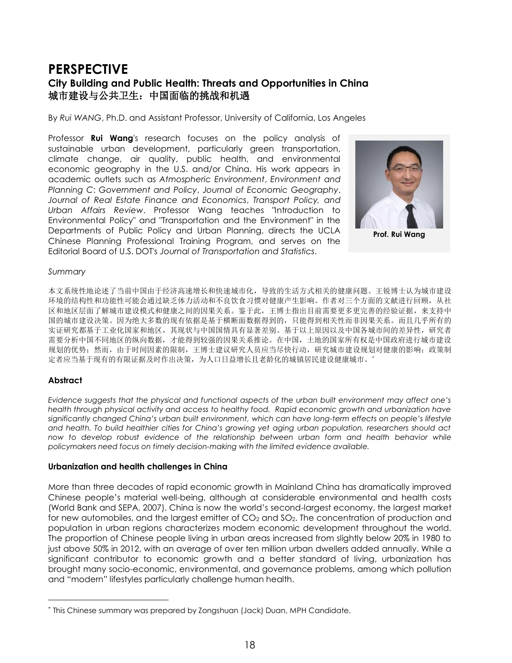# **PERSPECTIVE City Building and Public Health: Threats and Opportunities in China**  城市建设与公共卫生:中国面临的挑战和机遇

By *Rui WANG*, Ph.D. and Assistant Professor, University of California, Los Angeles

Professor **Rui Wang**'s research focuses on the policy analysis of sustainable urban development, particularly green transportation, climate change, air quality, public health, and environmental economic geography in the U.S. and/or China. His work appears in academic outlets such as *Atmospheric Environment*, *Environment and Planning C*: *Government and Policy*, *Journal of Economic Geography*, *Journal of Real Estate Finance and Economics*, *Transport Policy, and Urban Affairs Review*. Professor Wang teaches "Introduction to Environmental Policy" and "Transportation and the Environment" in the Departments of Public Policy and Urban Planning, directs the UCLA Chinese Planning Professional Training Program, and serves on the Editorial Board of U.S. DOT's *Journal of Transportation and Statistics*.



**Prof. Rui Wang**

#### *Summary*

**Dr. Guo Baogang** 本文系统性地论述了当前中国由于经济高速增长和快速城市化,导致的生活方式相关的健康问题。王锐博士认为城市建设 环境的结构性和功能性可能会通过缺乏体力活动和不良饮食习惯对健康产生影响。作者对三个方面的文献进行回顾,从社 区和地区层面了解城市建设模式和健康之间的因果关系。鉴于此,王博士指出目前需要更多更完善的经验证据,来支持中 国的城市建设决策。因为绝大多数的现有依据是基于横断面数据得到的,只能得到相关性而非因果关系。而且几乎所有的 实证研究都基于工业化国家和地区,其现状与中国国情具有显著差别。基于以上原因以及中国各城市间的差异性,研究者 需要分析中国不同地区的纵向数据,才能得到较强的因果关系推论。在中国,土地的国家所有权是中国政府进行城市建设 规划的优势;然而,由于时间因素的限制,王博士建议研究人员应当尽快行动,研究城市建设规划对健康的影响;政策制 定者应当基于现有的有限证据及时作出决策,为人口日益增长且老龄化的城镇居民建设健康城市。

### **Abstract**

l

*Evidence suggests that the physical and functional aspects of the urban built environment may affect one's health through physical activity and access to healthy food. Rapid economic growth and urbanization have significantly changed China's urban built environment, which can have long-term effects on people's lifestyle and health. To build healthier cities for China's growing yet aging urban population, researchers should act now to develop robust evidence of the relationship between urban form and health behavior while policymakers need focus on timely decision-making with the limited evidence available.* 

### **Urbanization and health challenges in China**

More than three decades of rapid economic growth in Mainland China has dramatically improved Chinese people's material well-being, although at considerable environmental and health costs (World Bank and SEPA, 2007). China is now the world's second-largest economy, the largest market for new automobiles, and the largest emitter of  $CO<sub>2</sub>$  and  $SO<sub>2</sub>$ . The concentration of production and population in urban regions characterizes modern economic development throughout the world. The proportion of Chinese people living in urban areas increased from slightly below 20% in 1980 to just above 50% in 2012, with an average of over ten million urban dwellers added annually. While a significant contributor to economic growth and a better standard of living, urbanization has brought many socio-economic, environmental, and governance problems, among which pollution and "modern" lifestyles particularly challenge human health.

*<sup>\*</sup>* This Chinese summary was prepared by Zongshuan (Jack) Duan, MPH Candidate.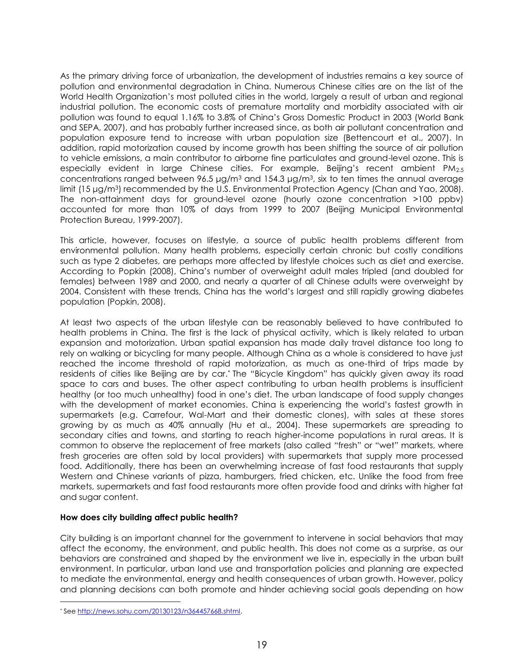As the primary driving force of urbanization, the development of industries remains a key source of pollution and environmental degradation in China. Numerous Chinese cities are on the list of the World Health Organization's most polluted cities in the world, largely a result of urban and regional industrial pollution. The economic costs of premature mortality and morbidity associated with air pollution was found to equal 1.16% to 3.8% of China's Gross Domestic Product in 2003 (World Bank and SEPA, 2007), and has probably further increased since, as both air pollutant concentration and population exposure tend to increase with urban population size (Bettencourt et al., 2007). In addition, rapid motorization caused by income growth has been shifting the source of air pollution to vehicle emissions, a main contributor to airborne fine particulates and ground-level ozone. This is especially evident in large Chinese cities. For example, Beijing's recent ambient PM<sub>2.5</sub> concentrations ranged between 96.5  $\mu q/m^3$  and 154.3  $\mu q/m^3$ , six to ten times the annual average limit (15 μg/m<sup>3</sup>) recommended by the U.S. Environmental Protection Agency (Chan and Yao, 2008). The non-attainment days for ground-level ozone (hourly ozone concentration >100 ppbv) accounted for more than 10% of days from 1999 to 2007 (Beijing Municipal Environmental Protection Bureau, 1999-2007).

This article, however, focuses on lifestyle, a source of public health problems different from environmental pollution. Many health problems, especially certain chronic but costly conditions such as type 2 diabetes, are perhaps more affected by lifestyle choices such as diet and exercise. According to Popkin (2008), China's number of overweight adult males tripled (and doubled for females) between 1989 and 2000, and nearly a quarter of all Chinese adults were overweight by 2004. Consistent with these trends, China has the world's largest and still rapidly growing diabetes population (Popkin, 2008).

At least two aspects of the urban lifestyle can be reasonably believed to have contributed to health problems in China. The first is the lack of physical activity, which is likely related to urban expansion and motorization. Urban spatial expansion has made daily travel distance too long to rely on walking or bicycling for many people. Although China as a whole is considered to have just reached the income threshold of rapid motorization, as much as one-third of trips made by residents of cities like Beijing are by car.*\** The "Bicycle Kingdom" has quickly given away its road space to cars and buses. The other aspect contributing to urban health problems is insufficient healthy (or too much unhealthy) food in one's diet. The urban landscape of food supply changes with the development of market economies. China is experiencing the world's fastest growth in supermarkets (e.g. Carrefour, Wal-Mart and their domestic clones), with sales at these stores growing by as much as 40% annually (Hu et al., 2004). These supermarkets are spreading to secondary cities and towns, and starting to reach higher-income populations in rural areas. It is common to observe the replacement of free markets (also called "fresh" or "wet" markets, where fresh groceries are often sold by local providers) with supermarkets that supply more processed food. Additionally, there has been an overwhelming increase of fast food restaurants that supply Western and Chinese variants of pizza, hamburgers, fried chicken, etc. Unlike the food from free markets, supermarkets and fast food restaurants more often provide food and drinks with higher fat and sugar content.

### **How does city building affect public health?**

City building is an important channel for the government to intervene in social behaviors that may affect the economy, the environment, and public health. This does not come as a surprise, as our behaviors are constrained and shaped by the environment we live in, especially in the urban built environment. In particular, urban land use and transportation policies and planning are expected to mediate the environmental, energy and health consequences of urban growth. However, policy and planning decisions can both promote and hinder achieving social goals depending on how

l

*<sup>\*</sup>* See [http://news.sohu.com/20130123/n364457668.shtml.](http://news.sohu.com/20130123/n364457668.shtml)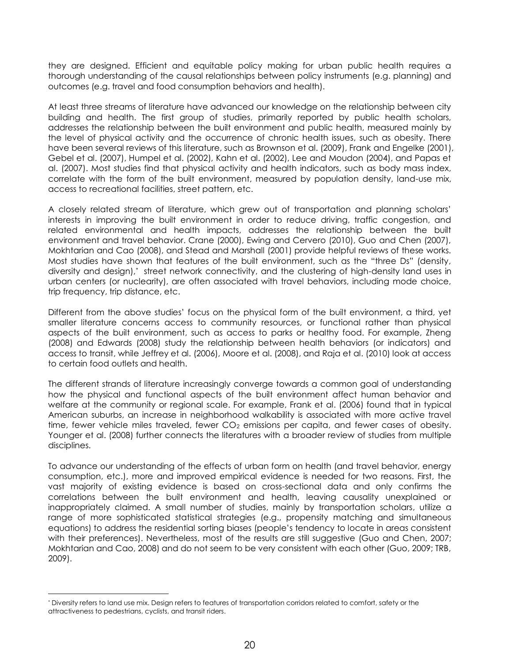they are designed. Efficient and equitable policy making for urban public health requires a thorough understanding of the causal relationships between policy instruments (e.g. planning) and outcomes (e.g. travel and food consumption behaviors and health).

At least three streams of literature have advanced our knowledge on the relationship between city building and health. The first group of studies, primarily reported by public health scholars, addresses the relationship between the built environment and public health, measured mainly by the level of physical activity and the occurrence of chronic health issues, such as obesity. There have been several reviews of this literature, such as Brownson et al. (2009), Frank and Engelke (2001), Gebel et al. (2007), Humpel et al. (2002), Kahn et al. (2002), Lee and Moudon (2004), and Papas et al. (2007). Most studies find that physical activity and health indicators, such as body mass index, correlate with the form of the built environment, measured by population density, land-use mix, access to recreational facilities, street pattern, etc.

A closely related stream of literature, which grew out of transportation and planning scholars' interests in improving the built environment in order to reduce driving, traffic congestion, and related environmental and health impacts, addresses the relationship between the built environment and travel behavior. Crane (2000), Ewing and Cervero (2010), Guo and Chen (2007), Mokhtarian and Cao (2008), and Stead and Marshall (2001) provide helpful reviews of these works. Most studies have shown that features of the built environment, such as the "three Ds" (density, diversity and design),\* street network connectivity, and the clustering of high-density land uses in urban centers (or nuclearity), are often associated with travel behaviors, including mode choice, trip frequency, trip distance, etc.

Different from the above studies' focus on the physical form of the built environment, a third, yet smaller literature concerns access to community resources, or functional rather than physical aspects of the built environment, such as access to parks or healthy food. For example, Zheng (2008) and Edwards (2008) study the relationship between health behaviors (or indicators) and access to transit, while Jeffrey et al. (2006), Moore et al. (2008), and Raja et al. (2010) look at access to certain food outlets and health.

The different strands of literature increasingly converge towards a common goal of understanding how the physical and functional aspects of the built environment affect human behavior and welfare at the community or regional scale. For example, Frank et al. (2006) found that in typical American suburbs, an increase in neighborhood walkability is associated with more active travel time, fewer vehicle miles traveled, fewer  $CO<sub>2</sub>$  emissions per capita, and fewer cases of obesity. Younger et al. (2008) further connects the literatures with a broader review of studies from multiple disciplines.

To advance our understanding of the effects of urban form on health (and travel behavior, energy consumption, etc.), more and improved empirical evidence is needed for two reasons. First, the vast majority of existing evidence is based on cross-sectional data and only confirms the correlations between the built environment and health, leaving causality unexplained or inappropriately claimed. A small number of studies, mainly by transportation scholars, utilize a range of more sophisticated statistical strategies (e.g., propensity matching and simultaneous equations) to address the residential sorting biases (people's tendency to locate in areas consistent with their preferences). Nevertheless, most of the results are still suggestive (Guo and Chen, 2007; Mokhtarian and Cao, 2008) and do not seem to be very consistent with each other (Guo, 2009; TRB, 2009).

l

*<sup>\*</sup>* Diversity refers to land use mix. Design refers to features of transportation corridors related to comfort, safety or the attractiveness to pedestrians, cyclists, and transit riders.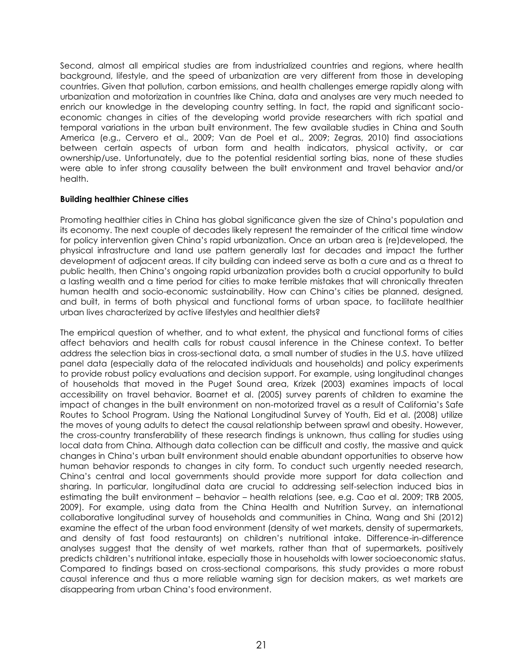Second, almost all empirical studies are from industrialized countries and regions, where health background, lifestyle, and the speed of urbanization are very different from those in developing countries. Given that pollution, carbon emissions, and health challenges emerge rapidly along with urbanization and motorization in countries like China, data and analyses are very much needed to enrich our knowledge in the developing country setting. In fact, the rapid and significant socioeconomic changes in cities of the developing world provide researchers with rich spatial and temporal variations in the urban built environment. The few available studies in China and South America (e.g., Cervero et al., 2009; Van de Poel et al., 2009; Zegras, 2010) find associations between certain aspects of urban form and health indicators, physical activity, or car ownership/use. Unfortunately, due to the potential residential sorting bias, none of these studies were able to infer strong causality between the built environment and travel behavior and/or health.

#### **Building healthier Chinese cities**

Promoting healthier cities in China has global significance given the size of China's population and its economy. The next couple of decades likely represent the remainder of the critical time window for policy intervention given China's rapid urbanization. Once an urban area is (re)developed, the physical infrastructure and land use pattern generally last for decades and impact the further development of adjacent areas. If city building can indeed serve as both a cure and as a threat to public health, then China's ongoing rapid urbanization provides both a crucial opportunity to build a lasting wealth and a time period for cities to make terrible mistakes that will chronically threaten human health and socio-economic sustainability. How can China's cities be planned, designed, and built, in terms of both physical and functional forms of urban space, to facilitate healthier urban lives characterized by active lifestyles and healthier diets?

The empirical question of whether, and to what extent, the physical and functional forms of cities affect behaviors and health calls for robust causal inference in the Chinese context. To better address the selection bias in cross-sectional data, a small number of studies in the U.S. have utilized panel data (especially data of the relocated individuals and households) and policy experiments to provide robust policy evaluations and decision support. For example, using longitudinal changes of households that moved in the Puget Sound area, Krizek (2003) examines impacts of local accessibility on travel behavior. Boarnet et al. (2005) survey parents of children to examine the impact of changes in the built environment on non-motorized travel as a result of California's Safe Routes to School Program. Using the National Longitudinal Survey of Youth, Eid et al. (2008) utilize the moves of young adults to detect the causal relationship between sprawl and obesity. However, the cross-country transferability of these research findings is unknown, thus calling for studies using local data from China. Although data collection can be difficult and costly, the massive and quick changes in China's urban built environment should enable abundant opportunities to observe how human behavior responds to changes in city form. To conduct such urgently needed research, China's central and local governments should provide more support for data collection and sharing. In particular, longitudinal data are crucial to addressing self-selection induced bias in estimating the built environment – behavior – health relations (see, e.g. Cao et al. 2009; TRB 2005, 2009). For example, using data from the China Health and Nutrition Survey, an international collaborative longitudinal survey of households and communities in China, Wang and Shi (2012) examine the effect of the urban food environment (density of wet markets, density of supermarkets, and density of fast food restaurants) on children's nutritional intake. Difference-in-difference analyses suggest that the density of wet markets, rather than that of supermarkets, positively predicts children's nutritional intake, especially those in households with lower socioeconomic status. Compared to findings based on cross-sectional comparisons, this study provides a more robust causal inference and thus a more reliable warning sign for decision makers, as wet markets are disappearing from urban China's food environment.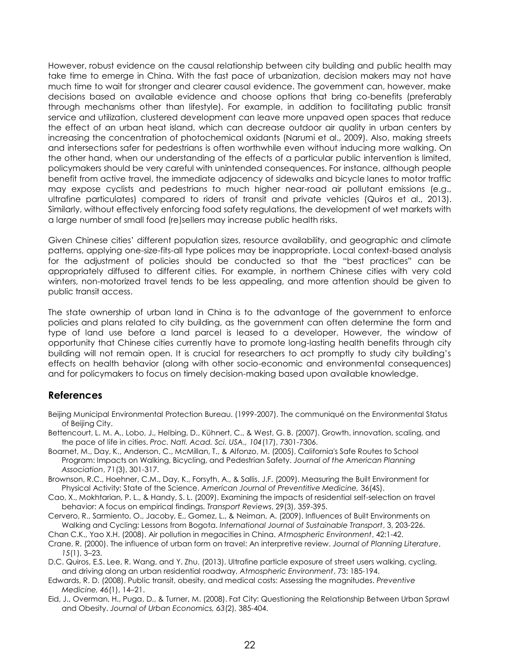However, robust evidence on the causal relationship between city building and public health may take time to emerge in China. With the fast pace of urbanization, decision makers may not have much time to wait for stronger and clearer causal evidence. The government can, however, make decisions based on available evidence and choose options that bring co-benefits (preferably through mechanisms other than lifestyle). For example, in addition to facilitating public transit service and utilization, clustered development can leave more unpaved open spaces that reduce the effect of an urban heat island, which can decrease outdoor air quality in urban centers by increasing the concentration of photochemical oxidants (Narumi et al., 2009). Also, making streets and intersections safer for pedestrians is often worthwhile even without inducing more walking. On the other hand, when our understanding of the effects of a particular public intervention is limited, policymakers should be very careful with unintended consequences. For instance, although people benefit from active travel, the immediate adjacency of sidewalks and bicycle lanes to motor traffic may expose cyclists and pedestrians to much higher near-road air pollutant emissions (e.g., ultrafine particulates) compared to riders of transit and private vehicles (Quiros et al., 2013). Similarly, without effectively enforcing food safety regulations, the development of wet markets with a large number of small food (re)sellers may increase public health risks.

Given Chinese cities' different population sizes, resource availability, and geographic and climate patterns, applying one-size-fits-all type polices may be inappropriate. Local context-based analysis for the adjustment of policies should be conducted so that the "best practices" can be appropriately diffused to different cities. For example, in northern Chinese cities with very cold winters, non-motorized travel tends to be less appealing, and more attention should be given to public transit access.

The state ownership of urban land in China is to the advantage of the government to enforce policies and plans related to city building, as the government can often determine the form and type of land use before a land parcel is leased to a developer. However, the window of opportunity that Chinese cities currently have to promote long-lasting health benefits through city building will not remain open. It is crucial for researchers to act promptly to study city building's effects on health behavior (along with other socio-economic and environmental consequences) and for policymakers to focus on timely decision-making based upon available knowledge.

## **References**

- Beijing Municipal Environmental Protection Bureau. (1999-2007). The communiqué on the Environmental Status of Beijing City.
- Bettencourt, L. M. A., Lobo, J., Helbing, D., Kühnert, C., & West, G. B. (2007). Growth, innovation, scaling, and the pace of life in cities. *Proc. Natl. Acad. Sci. USA., 104*(17), 7301-7306.
- Boarnet, M., Day, K., Anderson, C., McMillan, T., & Alfonzo, M. (2005). California's Safe Routes to School Program: Impacts on Walking, Bicycling, and Pedestrian Safety. *Journal of the American Planning Association*, 71(3), 301-317.
- Brownson, R.C., Hoehner, C.M., Day, K., Forsyth, A., & Sallis, J.F. (2009). Measuring the Built Environment for Physical Activity: State of the Science. *American Journal of Preventitive Medicine,* 36(4S).
- Cao, X., Mokhtarian, P. L., & Handy, S. L. (2009). Examining the impacts of residential self-selection on travel behavior: A focus on empirical findings. *Transport Reviews*, 29(3), 359-395.
- Cervero, R., Sarmiento, O., Jacoby, E., Gomez, L., & Neiman, A. (2009). Influences of Built Environments on Walking and Cycling: Lessons from Bogota. *International Journal of Sustainable Transport*, 3, 203-226.
- Chan C.K., Yao X.H. (2008). Air pollution in megacities in China. *Atmospheric Environment*, 42:1-42.
- Crane, R. (2000). The influence of urban form on travel: An interpretive review. *Journal of Planning Literature*, *15*(1), 3–23.
- D.C. Quiros, E.S. Lee, R. Wang, and Y. Zhu. (2013). Ultrafine particle exposure of street users walking, cycling, and driving along an urban residential roadway, *Atmospheric Environment*, 73: 185-194.
- Edwards, R. D. (2008). Public transit, obesity, and medical costs: Assessing the magnitudes. *Preventive Medicine, 46*(1), 14–21.
- Eid, J., Overman, H., Puga, D., & Turner, M. (2008). Fat City: Questioning the Relationship Between Urban Sprawl and Obesity. *Journal of Urban Economics, 63*(2), 385-404.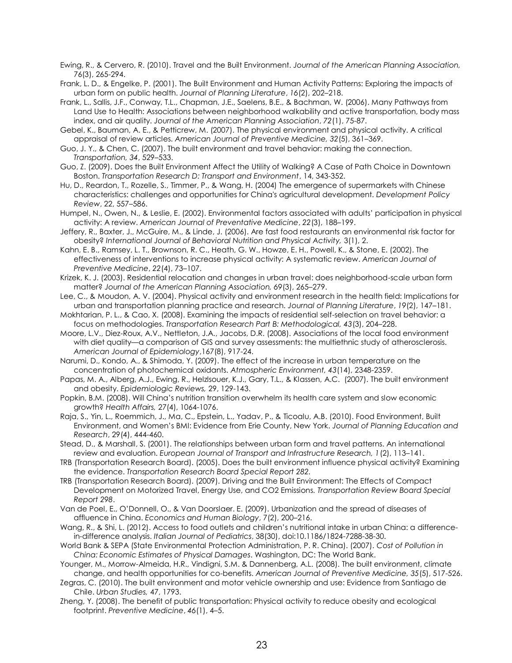Ewing, R., & Cervero, R. (2010). Travel and the Built Environment. *Journal of the American Planning Association,* 76(3), 265-294.

- Frank, L. D., & Engelke, P. (2001). The Built Environment and Human Activity Patterns: Exploring the impacts of urban form on public health. *Journal of Planning Literature*, *16*(2), 202–218.
- Frank, L., Sallis, J.F., Conway, T.L., Chapman, J.E., Saelens, B.E., & Bachman, W. (2006). Many Pathways from Land Use to Health: Associations between neighborhood walkability and active transportation, body mass index, and air quality. *Journal of the American Planning Association*, *72*(1), 75-87.
- Gebel, K., Bauman, A. E., & Petticrew, M. (2007). The physical environment and physical activity. A critical appraisal of review articles. *American Journal of Preventive Medicine, 32*(5), 361–369.
- Guo, J. Y., & Chen, C. (2007). The built environment and travel behavior: making the connection. *Transportation, 34*, 529–533.
- Guo, Z. (2009). Does the Built Environment Affect the Utility of Walking? A Case of Path Choice in Downtown Boston. *Transportation Research D: Transport and Environment*, 14, 343-352.
- Hu, D., Reardon, T., Rozelle, S., Timmer, P., & Wang, H. (2004) The emergence of supermarkets with Chinese characteristics: challenges and opportunities for China's agricultural development. *Development Policy Review*, 22, 557–586.
- Humpel, N., Owen, N., & Leslie, E. (2002). Environmental factors associated with adults' participation in physical activity: A review. *American Journal of Preventative Medicine*, *22*(3), 188–199.
- Jeffery, R., Baxter, J., McGuire, M., & Linde, J. (2006). Are fast food restaurants an environmental risk factor for obesity? *International Journal of Behavioral Nutrition and Physical Activity,* 3(1), 2.
- Kahn, E. B., Ramsey, L. T., Brownson, R. C., Heath, G. W., Howze, E. H., Powell, K., & Stone, E. (2002). The effectiveness of interventions to increase physical activity: A systematic review. *American Journal of Preventive Medicine*, *22*(4), 73–107.
- Krizek, K. J. (2003). Residential relocation and changes in urban travel: does neighborhood-scale urban form matter? *Journal of the American Planning Association, 69*(3), 265–279.
- Lee, C., & Moudon, A. V. (2004). Physical activity and environment research in the health field: Implications for urban and transportation planning practice and research. *Journal of Planning Literature*, *19*(2), 147–181.
- Mokhtarian, P. L., & Cao, X. (2008). Examining the impacts of residential self-selection on travel behavior: a focus on methodologies. *Transportation Research Part B: Methodological, 43*(3), 204–228.
- Moore, L.V., Diez-Roux, A.V., Nettleton, J.A., Jacobs, D.R. (2008). Associations of the local food environment with diet quality—a comparison of GIS and survey assessments: the multiethnic study of atherosclerosis. *American Journal of Epidemiology*,167(8), 917-24.
- Narumi, D., Kondo, A., & Shimoda, Y. (2009). The effect of the increase in urban temperature on the concentration of photochemical oxidants. *Atmospheric Environment, 43*(14), 2348-2359.
- Papas, M. A., Alberg, A.J., Ewing, R., Helzlsouer, K.J., Gary, T.L., & Klassen, A.C. (2007). The built environment and obesity. *Epidemiologic Reviews,* 29, 129-143.
- Popkin, B.M. (2008). Will China's nutrition transition overwhelm its health care system and slow economic growth? *Health Affairs,* 27(4), 1064-1076.
- Raja, S., Yin, L., Roemmich, J., Ma, C., Epstein, L., Yadav, P., & Ticoalu, A.B. (2010). Food Environment, Built Environment, and Women's BMI: Evidence from Erie County, New York. *Journal of Planning Education and Research*, 29(4), 444-460.
- Stead, D., & Marshall, S. (2001). The relationships between urban form and travel patterns. An international review and evaluation. *European Journal of Transport and Infrastructure Research, 1*(2), 113–141.
- TRB (Transportation Research Board). (2005). Does the built environment influence physical activity? Examining the evidence. *Transportation Research Board Special Report 282.*
- TRB (Transportation Research Board). (2009). Driving and the Built Environment: The Effects of Compact Development on Motorized Travel, Energy Use, and CO2 Emissions*. Transportation Review Board Special Report 298*.
- Van de Poel, E., O'Donnell, O., & Van Doorslaer. E. (2009). Urbanization and the spread of diseases of affluence in China. *Economics and Human Biology*, 7(2), 200–216.
- Wang, R., & Shi, L. (2012). Access to food outlets and children's nutritional intake in urban China: a differencein-difference analysis. *Italian Journal of Pediatrics*, 38(30), doi:10.1186/1824-7288-38-30.
- World Bank & SEPA (State Environmental Protection Administration, P. R. China). (2007). *Cost of Pollution in China: Economic Estimates of Physical Damages*. Washington, DC: The World Bank.
- Younger, M., Morrow-Almeida, H.R., Vindigni, S.M. & Dannenberg, A.L. (2008). The built environment, climate change, and health opportunities for co-benefits. *American Journal of Preventive Medicine, 35*(5), 517-526.
- Zegras, C. (2010). The built environment and motor vehicle ownership and use: Evidence from Santiago de Chile. *Urban Studies,* 47, 1793.
- Zheng, Y. (2008). The benefit of public transportation: Physical activity to reduce obesity and ecological footprint. *Preventive Medicine*, *46*(1), 4–5.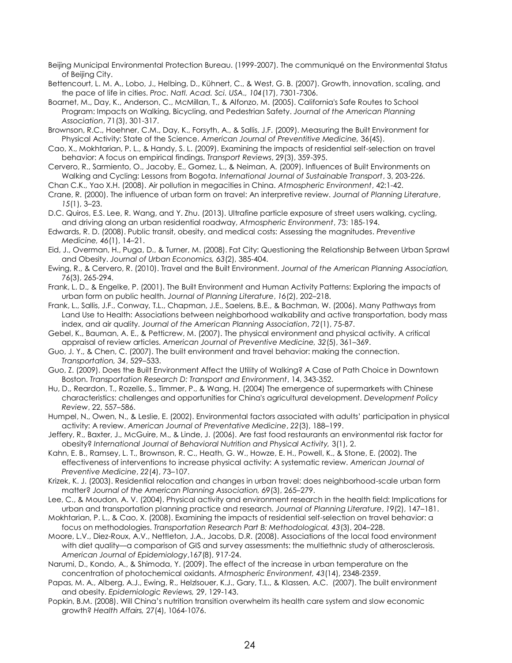Beijing Municipal Environmental Protection Bureau. (1999-2007). The communiqué on the Environmental Status of Beijing City.

Bettencourt, L. M. A., Lobo, J., Helbing, D., Kühnert, C., & West, G. B. (2007). Growth, innovation, scaling, and the pace of life in cities. *Proc. Natl. Acad. Sci. USA., 104*(17), 7301-7306.

Boarnet, M., Day, K., Anderson, C., McMillan, T., & Alfonzo, M. (2005). California's Safe Routes to School Program: Impacts on Walking, Bicycling, and Pedestrian Safety. *Journal of the American Planning Association*, 71(3), 301-317.

Brownson, R.C., Hoehner, C.M., Day, K., Forsyth, A., & Sallis, J.F. (2009). Measuring the Built Environment for Physical Activity: State of the Science. *American Journal of Preventitive Medicine,* 36(4S).

Cao, X., Mokhtarian, P. L., & Handy, S. L. (2009). Examining the impacts of residential self-selection on travel behavior: A focus on empirical findings. *Transport Reviews*, 29(3), 359-395.

Cervero, R., Sarmiento, O., Jacoby, E., Gomez, L., & Neiman, A. (2009). Influences of Built Environments on Walking and Cycling: Lessons from Bogota. *International Journal of Sustainable Transport*, 3, 203-226.

Chan C.K., Yao X.H. (2008). Air pollution in megacities in China. *Atmospheric Environment*, 42:1-42.

Crane, R. (2000). The influence of urban form on travel: An interpretive review. *Journal of Planning Literature*, *15*(1), 3–23.

D.C. Quiros, E.S. Lee, R. Wang, and Y. Zhu. (2013). Ultrafine particle exposure of street users walking, cycling, and driving along an urban residential roadway, *Atmospheric Environment*, 73: 185-194.

Edwards, R. D. (2008). Public transit, obesity, and medical costs: Assessing the magnitudes. *Preventive Medicine, 46*(1), 14–21.

Eid, J., Overman, H., Puga, D., & Turner, M. (2008). Fat City: Questioning the Relationship Between Urban Sprawl and Obesity. *Journal of Urban Economics, 63*(2), 385-404.

Ewing, R., & Cervero, R. (2010). Travel and the Built Environment. *Journal of the American Planning Association,* 76(3), 265-294.

Frank, L. D., & Engelke, P. (2001). The Built Environment and Human Activity Patterns: Exploring the impacts of urban form on public health. *Journal of Planning Literature*, *16*(2), 202–218.

Frank, L., Sallis, J.F., Conway, T.L., Chapman, J.E., Saelens, B.E., & Bachman, W. (2006). Many Pathways from Land Use to Health: Associations between neighborhood walkability and active transportation, body mass index, and air quality. *Journal of the American Planning Association*, *72*(1), 75-87.

Gebel, K., Bauman, A. E., & Petticrew, M. (2007). The physical environment and physical activity. A critical appraisal of review articles. *American Journal of Preventive Medicine, 32*(5), 361–369.

Guo, J. Y., & Chen, C. (2007). The built environment and travel behavior: making the connection. *Transportation, 34*, 529–533.

Guo, Z. (2009). Does the Built Environment Affect the Utility of Walking? A Case of Path Choice in Downtown Boston. *Transportation Research D: Transport and Environment*, 14, 343-352.

Hu, D., Reardon, T., Rozelle, S., Timmer, P., & Wang, H. (2004) The emergence of supermarkets with Chinese characteristics: challenges and opportunities for China's agricultural development. *Development Policy Review*, 22, 557–586.

Humpel, N., Owen, N., & Leslie, E. (2002). Environmental factors associated with adults' participation in physical activity: A review. *American Journal of Preventative Medicine*, *22*(3), 188–199.

Jeffery, R., Baxter, J., McGuire, M., & Linde, J. (2006). Are fast food restaurants an environmental risk factor for obesity? *International Journal of Behavioral Nutrition and Physical Activity,* 3(1), 2.

Kahn, E. B., Ramsey, L. T., Brownson, R. C., Heath, G. W., Howze, E. H., Powell, K., & Stone, E. (2002). The effectiveness of interventions to increase physical activity: A systematic review. *American Journal of Preventive Medicine*, *22*(4), 73–107.

Krizek, K. J. (2003). Residential relocation and changes in urban travel: does neighborhood-scale urban form matter? *Journal of the American Planning Association, 69*(3), 265–279.

Lee, C., & Moudon, A. V. (2004). Physical activity and environment research in the health field: Implications for urban and transportation planning practice and research. *Journal of Planning Literature*, *19*(2), 147–181.

Mokhtarian, P. L., & Cao, X. (2008). Examining the impacts of residential self-selection on travel behavior: a focus on methodologies. *Transportation Research Part B: Methodological, 43*(3), 204–228.

Moore, L.V., Diez-Roux, A.V., Nettleton, J.A., Jacobs, D.R. (2008). Associations of the local food environment with diet quality—a comparison of GIS and survey assessments: the multiethnic study of atherosclerosis. *American Journal of Epidemiology*,167(8), 917-24.

Narumi, D., Kondo, A., & Shimoda, Y. (2009). The effect of the increase in urban temperature on the concentration of photochemical oxidants. *Atmospheric Environment, 43*(14), 2348-2359.

Papas, M. A., Alberg, A.J., Ewing, R., Helzlsouer, K.J., Gary, T.L., & Klassen, A.C. (2007). The built environment and obesity. *Epidemiologic Reviews,* 29, 129-143.

Popkin, B.M. (2008). Will China's nutrition transition overwhelm its health care system and slow economic growth? *Health Affairs,* 27(4), 1064-1076.